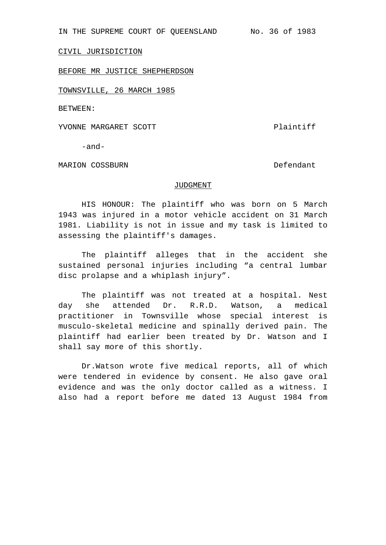IN THE SUPREME COURT OF QUEENSLAND No. 36 of 1983

CIVIL JURISDICTION

BEFORE MR JUSTICE SHEPHERDSON

TOWNSVILLE, 26 MARCH 1985

BETWEEN:

YVONNE MARGARET SCOTT Plaintiff

-and-

MARION COSSBURN DESCRIPTION OF A SERVICE SERVICE SERVICE SERVICE SERVICE SERVICE SERVICE SERVICE SERVICE SERVICE

## JUDGMENT

HIS HONOUR: The plaintiff who was born on 5 March 1943 was injured in a motor vehicle accident on 31 March 1981. Liability is not in issue and my task is limited to assessing the plaintiff's damages.

The plaintiff alleges that in the accident she sustained personal injuries including "a central lumbar disc prolapse and a whiplash injury".

The plaintiff was not treated at a hospital. Nest day she attended Dr. R.R.D. Watson, a medical practitioner in Townsville whose special interest is musculo-skeletal medicine and spinally derived pain. The plaintiff had earlier been treated by Dr. Watson and I shall say more of this shortly.

Dr.Watson wrote five medical reports, all of which were tendered in evidence by consent. He also gave oral evidence and was the only doctor called as a witness. I also had a report before me dated 13 August 1984 from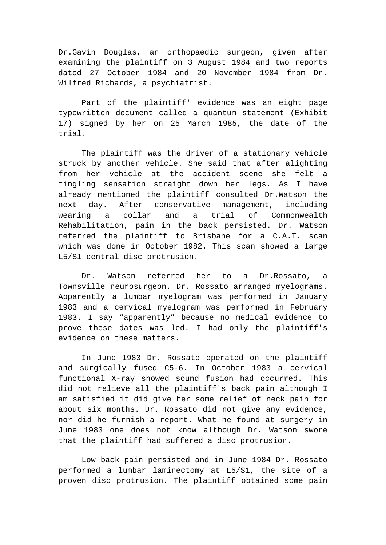Dr.Gavin Douglas, an orthopaedic surgeon, given after examining the plaintiff on 3 August 1984 and two reports dated 27 October 1984 and 20 November 1984 from Dr. Wilfred Richards, a psychiatrist.

Part of the plaintiff' evidence was an eight page typewritten document called a quantum statement (Exhibit 17) signed by her on 25 March 1985, the date of the trial.

The plaintiff was the driver of a stationary vehicle struck by another vehicle. She said that after alighting from her vehicle at the accident scene she felt a tingling sensation straight down her legs. As I have already mentioned the plaintiff consulted Dr.Watson the next day. After conservative management, including wearing a collar and a trial of Commonwealth Rehabilitation, pain in the back persisted. Dr. Watson referred the plaintiff to Brisbane for a C.A.T. scan which was done in October 1982. This scan showed a large L5/S1 central disc protrusion.

Dr. Watson referred her to a Dr.Rossato, a Townsville neurosurgeon. Dr. Rossato arranged myelograms. Apparently a lumbar myelogram was performed in January 1983 and a cervical myelogram was performed in February 1983. I say "apparently" because no medical evidence to prove these dates was led. I had only the plaintiff's evidence on these matters.

In June 1983 Dr. Rossato operated on the plaintiff and surgically fused C5-6. In October 1983 a cervical functional X-ray showed sound fusion had occurred. This did not relieve all the plaintiff's back pain although I am satisfied it did give her some relief of neck pain for about six months. Dr. Rossato did not give any evidence, nor did he furnish a report. What he found at surgery in June 1983 one does not know although Dr. Watson swore that the plaintiff had suffered a disc protrusion.

Low back pain persisted and in June 1984 Dr. Rossato performed a lumbar laminectomy at L5/S1, the site of a proven disc protrusion. The plaintiff obtained some pain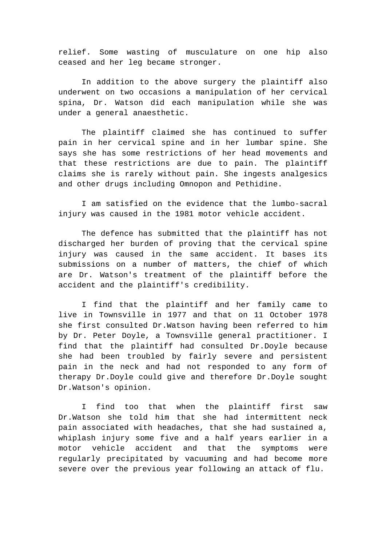relief. Some wasting of musculature on one hip also ceased and her leg became stronger.

In addition to the above surgery the plaintiff also underwent on two occasions a manipulation of her cervical spina, Dr. Watson did each manipulation while she was under a general anaesthetic.

The plaintiff claimed she has continued to suffer pain in her cervical spine and in her lumbar spine. She says she has some restrictions of her head movements and that these restrictions are due to pain. The plaintiff claims she is rarely without pain. She ingests analgesics and other drugs including Omnopon and Pethidine.

I am satisfied on the evidence that the lumbo-sacral injury was caused in the 1981 motor vehicle accident.

The defence has submitted that the plaintiff has not discharged her burden of proving that the cervical spine injury was caused in the same accident. It bases its submissions on a number of matters, the chief of which are Dr. Watson's treatment of the plaintiff before the accident and the plaintiff's credibility.

I find that the plaintiff and her family came to live in Townsville in 1977 and that on 11 October 1978 she first consulted Dr.Watson having been referred to him by Dr. Peter Doyle, a Townsville general practitioner. I find that the plaintiff had consulted Dr.Doyle because she had been troubled by fairly severe and persistent pain in the neck and had not responded to any form of therapy Dr.Doyle could give and therefore Dr.Doyle sought Dr.Watson's opinion.

I find too that when the plaintiff first saw Dr.Watson she told him that she had intermittent neck pain associated with headaches, that she had sustained a, whiplash injury some five and a half years earlier in a motor vehicle accident and that the symptoms were regularly precipitated by vacuuming and had become more severe over the previous year following an attack of flu.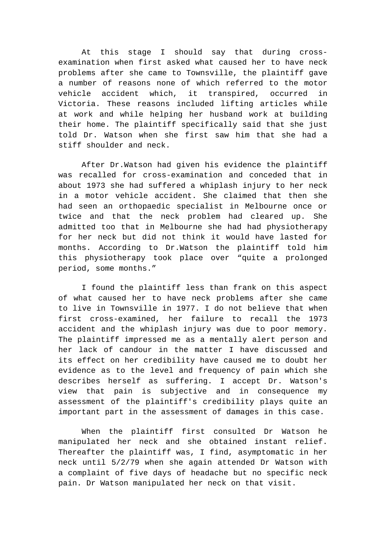At this stage I should say that during crossexamination when first asked what caused her to have neck problems after she came to Townsville, the plaintiff gave a number of reasons none of which referred to the motor vehicle accident which, it transpired, occurred in Victoria. These reasons included lifting articles while at work and while helping her husband work at building their home. The plaintiff specifically said that she just told Dr. Watson when she first saw him that she had a stiff shoulder and neck.

After Dr.Watson had given his evidence the plaintiff was recalled for cross-examination and conceded that in about 1973 she had suffered a whiplash injury to her neck in a motor vehicle accident. She claimed that then she had seen an orthopaedic specialist in Melbourne once or twice and that the neck problem had cleared up. She admitted too that in Melbourne she had had physiotherapy for her neck but did not think it would have lasted for months. According to Dr.Watson the plaintiff told him this physiotherapy took place over "quite a prolonged period, some months."

I found the plaintiff less than frank on this aspect of what caused her to have neck problems after she came to live in Townsville in 1977. I do not believe that when first cross-examined, her failure to recall the 1973 accident and the whiplash injury was due to poor memory. The plaintiff impressed me as a mentally alert person and her lack of candour in the matter I have discussed and its effect on her credibility have caused me to doubt her evidence as to the level and frequency of pain which she describes herself as suffering. I accept Dr. Watson's view that pain is subjective and in consequence my assessment of the plaintiff's credibility plays quite an important part in the assessment of damages in this case.

When the plaintiff first consulted Dr Watson he manipulated her neck and she obtained instant relief. Thereafter the plaintiff was, I find, asymptomatic in her neck until 5/2/79 when she again attended Dr Watson with a complaint of five days of headache but no specific neck pain. Dr Watson manipulated her neck on that visit.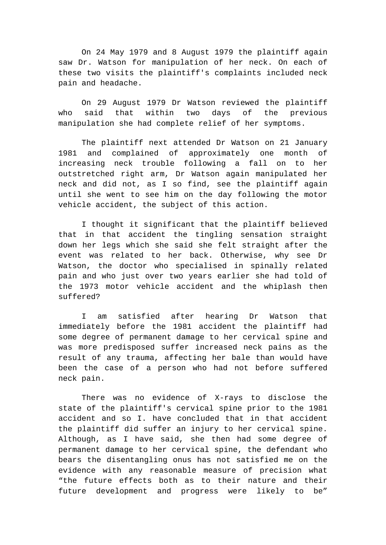On 24 May 1979 and 8 August 1979 the plaintiff again saw Dr. Watson for manipulation of her neck. On each of these two visits the plaintiff's complaints included neck pain and headache.

On 29 August 1979 Dr Watson reviewed the plaintiff who said that within two days of the previous manipulation she had complete relief of her symptoms.

The plaintiff next attended Dr Watson on 21 January 1981 and complained of approximately one month of increasing neck trouble following a fall on to her outstretched right arm, Dr Watson again manipulated her neck and did not, as I so find, see the plaintiff again until she went to see him on the day following the motor vehicle accident, the subject of this action.

I thought it significant that the plaintiff believed that in that accident the tingling sensation straight down her legs which she said she felt straight after the event was related to her back. Otherwise, why see Dr Watson, the doctor who specialised in spinally related pain and who just over two years earlier she had told of the 1973 motor vehicle accident and the whiplash then suffered?

am satisfied after hearing Dr Watson that immediately before the 1981 accident the plaintiff had some degree of permanent damage to her cervical spine and was more predisposed suffer increased neck pains as the result of any trauma, affecting her bale than would have been the case of a person who had not before suffered neck pain.

There was no evidence of X-rays to disclose the state of the plaintiff's cervical spine prior to the 1981 accident and so I. have concluded that in that accident the plaintiff did suffer an injury to her cervical spine. Although, as I have said, she then had some degree of permanent damage to her cervical spine, the defendant who bears the disentangling onus has not satisfied me on the evidence with any reasonable measure of precision what "the future effects both as to their nature and their future development and progress were likely to be"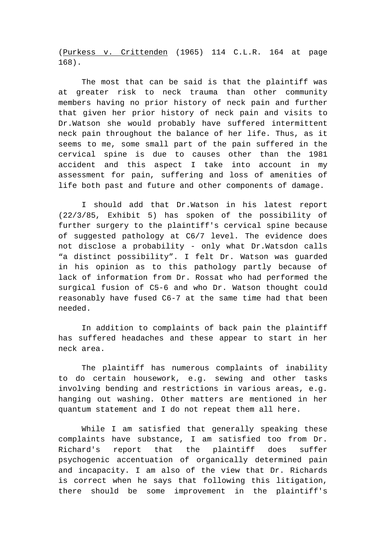(Purkess v. Crittenden (1965) 114 C.L.R. 164 at page 168).

The most that can be said is that the plaintiff was at greater risk to neck trauma than other community members having no prior history of neck pain and further that given her prior history of neck pain and visits to Dr.Watson she would probably have suffered intermittent neck pain throughout the balance of her life. Thus, as it seems to me, some small part of the pain suffered in the cervical spine is due to causes other than the 1981 accident and this aspect I take into account in my assessment for pain, suffering and loss of amenities of life both past and future and other components of damage.

I should add that Dr.Watson in his latest report (22/3/85, Exhibit 5) has spoken of the possibility of further surgery to the plaintiff's cervical spine because of suggested pathology at C6/7 level. The evidence does not disclose a probability - only what Dr.Watsdon calls "a distinct possibility". I felt Dr. Watson was guarded in his opinion as to this pathology partly because of lack of information from Dr. Rossat who had performed the surgical fusion of C5-6 and who Dr. Watson thought could reasonably have fused C6-7 at the same time had that been needed.

In addition to complaints of back pain the plaintiff has suffered headaches and these appear to start in her neck area.

The plaintiff has numerous complaints of inability to do certain housework, e.g. sewing and other tasks involving bending and restrictions in various areas, e.g. hanging out washing. Other matters are mentioned in her quantum statement and I do not repeat them all here.

While I am satisfied that generally speaking these complaints have substance, I am satisfied too from Dr. Richard's report that the plaintiff does suffer psychogenic accentuation of organically determined pain and incapacity. I am also of the view that Dr. Richards is correct when he says that following this litigation, there should be some improvement in the plaintiff's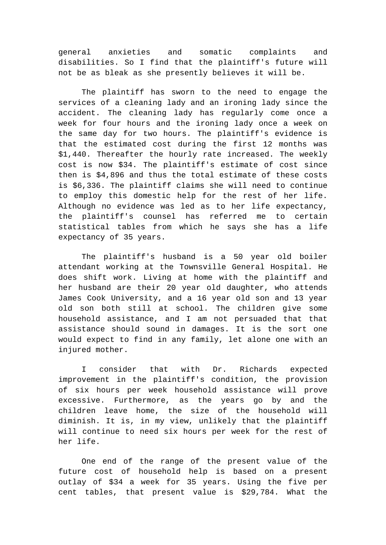general anxieties and somatic complaints and disabilities. So I find that the plaintiff's future will not be as bleak as she presently believes it will be.

The plaintiff has sworn to the need to engage the services of a cleaning lady and an ironing lady since the accident. The cleaning lady has regularly come once a week for four hours and the ironing lady once a week on the same day for two hours. The plaintiff's evidence is that the estimated cost during the first 12 months was \$1,440. Thereafter the hourly rate increased. The weekly cost is now \$34. The plaintiff's estimate of cost since then is \$4,896 and thus the total estimate of these costs is \$6,336. The plaintiff claims she will need to continue to employ this domestic help for the rest of her life. Although no evidence was led as to her life expectancy, the plaintiff's counsel has referred me to certain statistical tables from which he says she has a life expectancy of 35 years.

The plaintiff's husband is a 50 year old boiler attendant working at the Townsville General Hospital. He does shift work. Living at home with the plaintiff and her husband are their 20 year old daughter, who attends James Cook University, and a 16 year old son and 13 year old son both still at school. The children give some household assistance, and I am not persuaded that that assistance should sound in damages. It is the sort one would expect to find in any family, let alone one with an injured mother.

I consider that with Dr. Richards expected improvement in the plaintiff's condition, the provision of six hours per week household assistance will prove excessive. Furthermore, as the years go by and the children leave home, the size of the household will diminish. It is, in my view, unlikely that the plaintiff will continue to need six hours per week for the rest of her life.

One end of the range of the present value of the future cost of household help is based on a present outlay of \$34 a week for 35 years. Using the five per cent tables, that present value is \$29,784. What the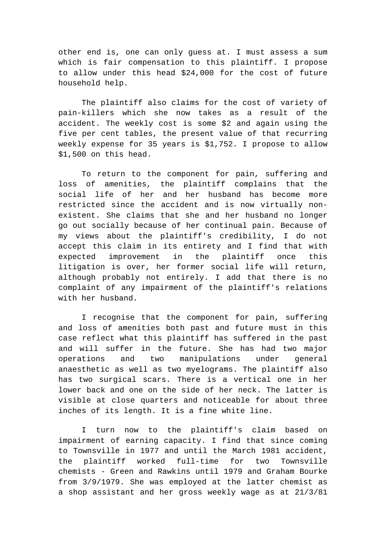other end is, one can only guess at. I must assess a sum which is fair compensation to this plaintiff. I propose to allow under this head \$24,000 for the cost of future household help.

The plaintiff also claims for the cost of variety of pain-killers which she now takes as a result of the accident. The weekly cost is some \$2 and again using the five per cent tables, the present value of that recurring weekly expense for 35 years is \$1,752. I propose to allow \$1,500 on this head.

To return to the component for pain, suffering and loss of amenities, the plaintiff complains that the social life of her and her husband has become more restricted since the accident and is now virtually nonexistent. She claims that she and her husband no longer go out socially because of her continual pain. Because of my views about the plaintiff's credibility, I do not accept this claim in its entirety and I find that with expected improvement in the plaintiff once this litigation is over, her former social life will return, although probably not entirely. I add that there is no complaint of any impairment of the plaintiff's relations with her husband.

I recognise that the component for pain, suffering and loss of amenities both past and future must in this case reflect what this plaintiff has suffered in the past and will suffer in the future. She has had two major operations and two manipulations under general anaesthetic as well as two myelograms. The plaintiff also has two surgical scars. There is a vertical one in her lower back and one on the side of her neck. The latter is visible at close quarters and noticeable for about three inches of its length. It is a fine white line.

I turn now to the plaintiff's claim based on impairment of earning capacity. I find that since coming to Townsville in 1977 and until the March 1981 accident, the plaintiff worked full-time for two Townsville chemists - Green and Rawkins until 1979 and Graham Bourke from 3/9/1979. She was employed at the latter chemist as a shop assistant and her gross weekly wage as at 21/3/81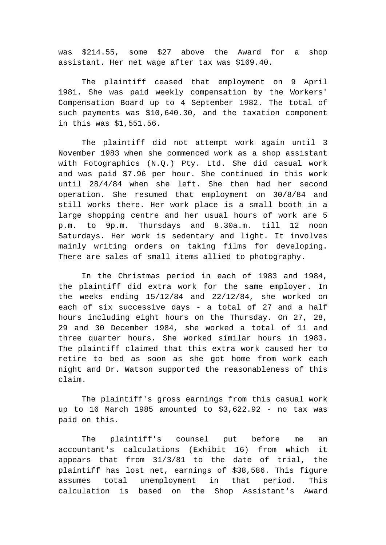was \$214.55, some \$27 above the Award for a shop assistant. Her net wage after tax was \$169.40.

The plaintiff ceased that employment on 9 April 1981. She was paid weekly compensation by the Workers' Compensation Board up to 4 September 1982. The total of such payments was \$10,640.30, and the taxation component in this was \$1,551.56.

The plaintiff did not attempt work again until 3 November 1983 when she commenced work as a shop assistant with Fotographics (N.Q.) Pty. Ltd. She did casual work and was paid \$7.96 per hour. She continued in this work until 28/4/84 when she left. She then had her second operation. She resumed that employment on 30/8/84 and still works there. Her work place is a small booth in a large shopping centre and her usual hours of work are 5 p.m. to 9p.m. Thursdays and 8.30a.m. till 12 noon Saturdays. Her work is sedentary and light. It involves mainly writing orders on taking films for developing. There are sales of small items allied to photography.

In the Christmas period in each of 1983 and 1984, the plaintiff did extra work for the same employer. In the weeks ending 15/12/84 and 22/12/84, she worked on each of six successive days - a total of 27 and a half hours including eight hours on the Thursday. On 27, 28, 29 and 30 December 1984, she worked a total of 11 and three quarter hours. She worked similar hours in 1983. The plaintiff claimed that this extra work caused her to retire to bed as soon as she got home from work each night and Dr. Watson supported the reasonableness of this claim.

The plaintiff's gross earnings from this casual work up to 16 March 1985 amounted to \$3,622.92 - no tax was paid on this.

The plaintiff's counsel put before me an accountant's calculations (Exhibit 16) from which it appears that from 31/3/81 to the date of trial, the plaintiff has lost net, earnings of \$38,586. This figure assumes total unemployment in that period. This calculation is based on the Shop Assistant's Award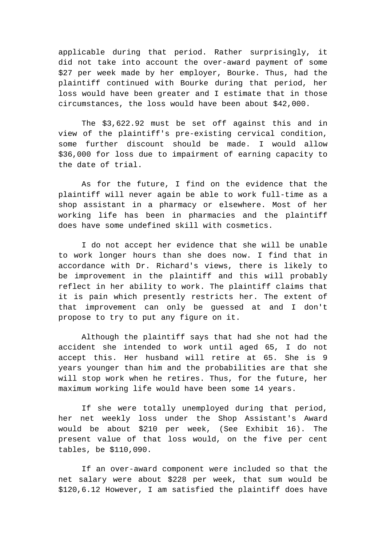applicable during that period. Rather surprisingly, it did not take into account the over-award payment of some \$27 per week made by her employer, Bourke. Thus, had the plaintiff continued with Bourke during that period, her loss would have been greater and I estimate that in those circumstances, the loss would have been about \$42,000.

The \$3,622.92 must be set off against this and in view of the plaintiff's pre-existing cervical condition, some further discount should be made. I would allow \$36,000 for loss due to impairment of earning capacity to the date of trial.

As for the future, I find on the evidence that the plaintiff will never again be able to work full-time as a shop assistant in a pharmacy or elsewhere. Most of her working life has been in pharmacies and the plaintiff does have some undefined skill with cosmetics.

I do not accept her evidence that she will be unable to work longer hours than she does now. I find that in accordance with Dr. Richard's views, there is likely to be improvement in the plaintiff and this will probably reflect in her ability to work. The plaintiff claims that it is pain which presently restricts her. The extent of that improvement can only be guessed at and I don't propose to try to put any figure on it.

Although the plaintiff says that had she not had the accident she intended to work until aged 65, I do not accept this. Her husband will retire at 65. She is 9 years younger than him and the probabilities are that she will stop work when he retires. Thus, for the future, her maximum working life would have been some 14 years.

If she were totally unemployed during that period, her net weekly loss under the Shop Assistant's Award would be about \$210 per week, (See Exhibit 16). The present value of that loss would, on the five per cent tables, be \$110,090.

If an over-award component were included so that the net salary were about \$228 per week, that sum would be \$120,6.12 However, I am satisfied the plaintiff does have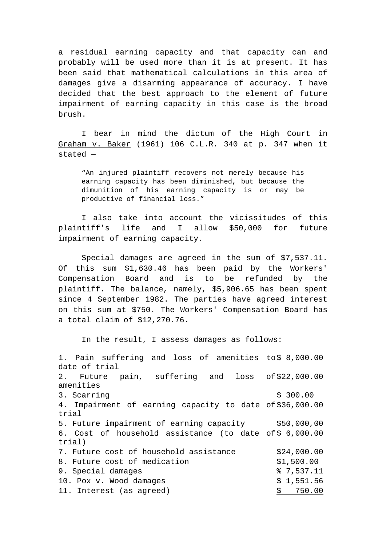a residual earning capacity and that capacity can and probably will be used more than it is at present. It has been said that mathematical calculations in this area of damages give a disarming appearance of accuracy. I have decided that the best approach to the element of future impairment of earning capacity in this case is the broad brush.

I bear in mind the dictum of the High Court in Graham v. Baker (1961) 106 C.L.R. 340 at p. 347 when it stated —

"An injured plaintiff recovers not merely because his earning capacity has been diminished, but because the dimunition of his earning capacity is or may be productive of financial loss."

I also take into account the vicissitudes of this plaintiff's life and I allow \$50,000 for future impairment of earning capacity.

Special damages are agreed in the sum of \$7,537.11. Of this sum \$1,630.46 has been paid by the Workers' Compensation Board and is to be refunded by the plaintiff. The balance, namely, \$5,906.65 has been spent since 4 September 1982. The parties have agreed interest on this sum at \$750. The Workers' Compensation Board has a total claim of \$12,270.76.

In the result, I assess damages as follows:

1. Pain suffering and loss of amenities to\$ 8,000.00 date of trial 2. Future pain, suffering and amenities loss of \$22,000.00 3. Scarring  $\sim$  300.00 4. Impairment of earning capacity to date of \$36,000.00 trial 5. Future impairment of earning capacity \$50,000,00 6. Cost of household assistance (to date of \$ 6,000.00 trial) 7. Future cost of household assistance \$24,000.00 8. Future cost of medication  $$1,500.00$ 9. Special damages  $\frac{1}{2}$  8 7,537.11 10. Pox v. Wood damages  $$1,551.56$ 11. Interest (as agreed)  $\frac{1}{5}$  750.00